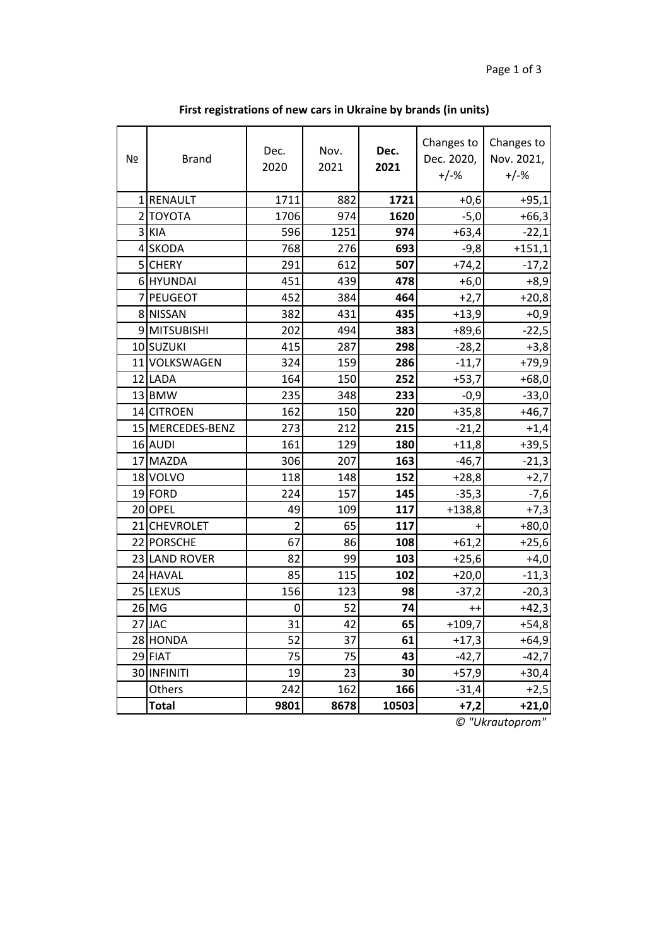| Nº | <b>Brand</b>     | Dec.<br>2020   | Nov.<br>2021 | Dec.<br>2021 | Changes to<br>Dec. 2020,<br>$+/-%$ | Changes to<br>Nov. 2021,<br>$+/-%$ |
|----|------------------|----------------|--------------|--------------|------------------------------------|------------------------------------|
|    | 1 RENAULT        | 1711           | 882          | 1721         | $+0,6$                             | $+95,1$                            |
|    | 2 ΤΟΥΟΤΑ         | 1706           | 974          | 1620         | $-5,0$                             | $+66,3$                            |
|    | 3 KIA            | 596            | 1251         | 974          | $+63,4$                            | $-22,1$                            |
|    | 4 SKODA          | 768            | 276          | 693          | $-9,8$                             | $+151,1$                           |
|    | 5 CHERY          | 291            | 612          | 507          | $+74,2$                            | $-17,2$                            |
|    | 6 HYUNDAI        | 451            | 439          | 478          | $+6,0$                             | $+8,9$                             |
|    | 7 PEUGEOT        | 452            | 384          | 464          | $+2,7$                             | $+20,8$                            |
|    | 8 NISSAN         | 382            | 431          | 435          | $+13,9$                            | $+0,9$                             |
|    | 9 MITSUBISHI     | 202            | 494          | 383          | $+89,6$                            | $-22,5$                            |
|    | 10 SUZUKI        | 415            | 287          | 298          | $-28,2$                            | $+3,8$                             |
|    | 11 VOLKSWAGEN    | 324            | 159          | 286          | $-11,7$                            | $+79,9$                            |
|    | 12 LADA          | 164            | 150          | 252          | $+53,7$                            | $+68,0$                            |
|    | 13 BMW           | 235            | 348          | 233          | $-0,9$                             | $-33,0$                            |
|    | 14 CITROEN       | 162            | 150          | 220          | $+35,8$                            | $+46,7$                            |
|    | 15 MERCEDES-BENZ | 273            | 212          | 215          | $-21,2$                            | $+1,4$                             |
|    | 16 AUDI          | 161            | 129          | 180          | $+11,8$                            | $+39,5$                            |
|    | 17 MAZDA         | 306            | 207          | 163          | $-46,7$                            | $-21,3$                            |
|    | 18 VOLVO         | 118            | 148          | 152          | $+28,8$                            | $+2,7$                             |
|    | 19 FORD          | 224            | 157          | 145          | $-35,3$                            | $-7,6$                             |
|    | 20 OPEL          | 49             | 109          | 117          | $+138,8$                           | $+7,3$                             |
|    | 21 CHEVROLET     | $\overline{2}$ | 65           | 117          |                                    | $+80,0$                            |
|    | 22 PORSCHE       | 67             | 86           | 108          | $+61,2$                            | $+25,6$                            |
|    | 23 LAND ROVER    | 82             | 99           | 103          | $+25,6$                            | $+4,0$                             |
|    | 24 HAVAL         | 85             | 115          | 102          | $+20,0$                            | $-11,3$                            |
|    | 25 LEXUS         | 156            | 123          | 98           | $-37,2$                            | $-20,3$                            |
|    | 26 MG            | 0              | 52           | 74           | $++$                               | $+42,3$                            |
|    | 27 JAC           | 31             | 42           | 65           | $+109,7$                           | $+54,8$                            |
|    | 28 HONDA         | 52             | 37           | 61           | $+17,3$                            | $+64,9$                            |
|    | 29 FIAT          | 75             | 75           | 43           | $-42,7$                            | $-42,7$                            |
|    | 30 INFINITI      | 19             | 23           | 30           | $+57,9$                            | $+30,4$                            |
|    | Others           | 242            | 162          | 166          | $-31,4$                            | $+2,5$                             |
|    | <b>Total</b>     | 9801           | 8678         | 10503        | $+7,2$                             | $+21,0$                            |

**First registrations of new cars in Ukraine by brands (in units)**

*© "Ukrautoprom"*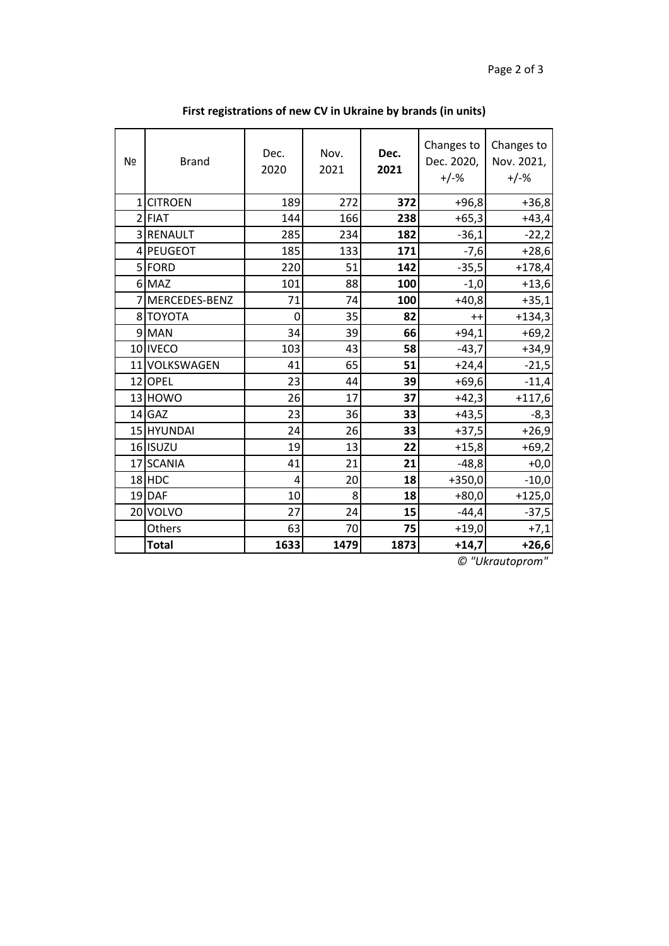| N∘       | <b>Brand</b>    | Dec.<br>2020 | Nov.<br>2021 | Dec.<br>2021 | Changes to<br>Dec. 2020,<br>$+/-%$ | Changes to<br>Nov. 2021,<br>$+/-%$ |
|----------|-----------------|--------------|--------------|--------------|------------------------------------|------------------------------------|
| $1\vert$ | <b>CITROEN</b>  | 189          | 272          | 372          | $+96,8$                            | $+36,8$                            |
|          | $2$ FIAT        | 144          | 166          | 238          | $+65,3$                            | $+43,4$                            |
|          | 3 RENAULT       | 285          | 234          | 182          | $-36,1$                            | $-22,2$                            |
|          | 4 PEUGEOT       | 185          | 133          | 171          | $-7,6$                             | $+28,6$                            |
|          | 5FORD           | 220          | 51           | 142          | $-35,5$                            | $+178,4$                           |
|          | 6 MAZ           | 101          | 88           | 100          | $-1,0$                             | $+13,6$                            |
|          | 7 MERCEDES-BENZ | 71           | 74           | 100          | $+40,8$                            | $+35,1$                            |
|          | 8 TOYOTA        | 0            | 35           | 82           | $++$                               | $+134,3$                           |
|          | 9MAN            | 34           | 39           | 66           | $+94,1$                            | $+69,2$                            |
|          | 10 IVECO        | 103          | 43           | 58           | $-43,7$                            | $+34,9$                            |
|          | 11 VOLKSWAGEN   | 41           | 65           | 51           | $+24,4$                            | $-21,5$                            |
|          | 12 OPEL         | 23           | 44           | 39           | $+69,6$                            | $-11,4$                            |
|          | 13 HOWO         | 26           | 17           | 37           | $+42,3$                            | $+117,6$                           |
|          | $14$ GAZ        | 23           | 36           | 33           | $+43,5$                            | $-8,3$                             |
|          | 15 HYUNDAI      | 24           | 26           | 33           | $+37,5$                            | $+26,9$                            |
|          | 16 ISUZU        | 19           | 13           | 22           | $+15,8$                            | $+69,2$                            |
|          | 17 SCANIA       | 41           | 21           | 21           | $-48,8$                            | $+0,0$                             |
|          | $18$ HDC        | 4            | 20           | 18           | $+350,0$                           | $-10,0$                            |
|          | 19 DAF          | 10           | 8            | 18           | $+80,0$                            | $+125,0$                           |
|          | 20 VOLVO        | 27           | 24           | 15           | $-44,4$                            | $-37,5$                            |
|          | Others          | 63           | 70           | 75           | $+19,0$                            | $+7,1$                             |
|          | <b>Total</b>    | 1633         | 1479         | 1873         | $+14,7$                            | $+26,6$                            |

**First registrations of new CV in Ukraine by brands (in units)**

*© "Ukrautoprom"*